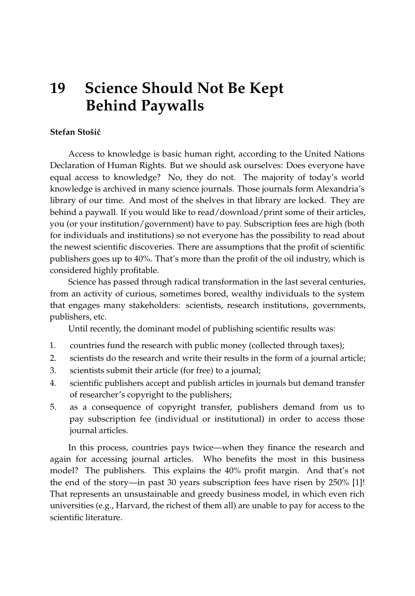# **19 Science Should Not Be Kept Behind Paywalls**

## **Stefan Stošić**

Access to knowledge is basic human right, according to the United Nations Declaration of Human Rights. But we should ask ourselves: Does everyone have equal access to knowledge? No, they do not. The majority of today's world knowledge is archived in many science journals. Those journals form Alexandria's library of our time. And most of the shelves in that library are locked. They are behind a paywall. If you would like to read/download/print some of their articles, you (or your institution/government) have to pay. Subscription fees are high (both for individuals and institutions) so not everyone has the possibility to read about the newest scientific discoveries. There are assumptions that the profit of scientific publishers goes up to 40%. That's more than the profit of the oil industry, which is considered highly profitable.

Science has passed through radical transformation in the last several centuries, from an activity of curious, sometimes bored, wealthy individuals to the system that engages many stakeholders: scientists, research institutions, governments, publishers, etc.

Until recently, the dominant model of publishing scientific results was:

- 1. countries fund the research with public money (collected through taxes);
- 2. scientists do the research and write their results in the form of a journal article;
- 3. scientists submit their article (for free) to a journal;
- 4. scientific publishers accept and publish articles in journals but demand transfer of researcher's copyright to the publishers;
- 5. as a consequence of copyright transfer, publishers demand from us to pay subscription fee (individual or institutional) in order to access those journal articles.

In this process, countries pays twice—when they finance the research and again for accessing journal articles. Who benefits the most in this business model? The publishers. This explains the 40% profit margin. And that's not the end of the story—in past 30 years subscription fees have risen by 250% [\[1\]](#page-2-0)! That represents an unsustainable and greedy business model, in which even rich universities (e.g., Harvard, the richest of them all) are unable to pay for access to the scientific literature.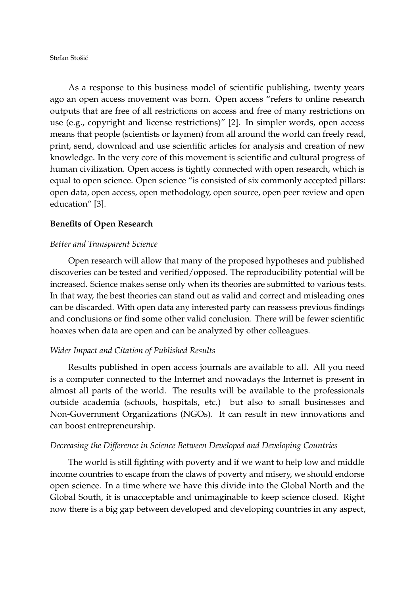Stefan Stošić

As a response to this business model of scientific publishing, twenty years ago an open access movement was born. Open access "refers to online research outputs that are free of all restrictions on access and free of many restrictions on use (e.g., copyright and license restrictions)" [\[2\]](#page-2-1). In simpler words, open access means that people (scientists or laymen) from all around the world can freely read, print, send, download and use scientific articles for analysis and creation of new knowledge. In the very core of this movement is scientific and cultural progress of human civilization. Open access is tightly connected with open research, which is equal to open science. Open science "is consisted of six commonly accepted pillars: open data, open access, open methodology, open source, open peer review and open education" [\[3\]](#page-2-2).

#### **Benefits of Open Research**

#### *Better and Transparent Science*

Open research will allow that many of the proposed hypotheses and published discoveries can be tested and verified/opposed. The reproducibility potential will be increased. Science makes sense only when its theories are submitted to various tests. In that way, the best theories can stand out as valid and correct and misleading ones can be discarded. With open data any interested party can reassess previous findings and conclusions or find some other valid conclusion. There will be fewer scientific hoaxes when data are open and can be analyzed by other colleagues.

#### *Wider Impact and Citation of Published Results*

Results published in open access journals are available to all. All you need is a computer connected to the Internet and nowadays the Internet is present in almost all parts of the world. The results will be available to the professionals outside academia (schools, hospitals, etc.) but also to small businesses and Non-Government Organizations (NGOs). It can result in new innovations and can boost entrepreneurship.

### *Decreasing the Difference in Science Between Developed and Developing Countries*

The world is still fighting with poverty and if we want to help low and middle income countries to escape from the claws of poverty and misery, we should endorse open science. In a time where we have this divide into the Global North and the Global South, it is unacceptable and unimaginable to keep science closed. Right now there is a big gap between developed and developing countries in any aspect,